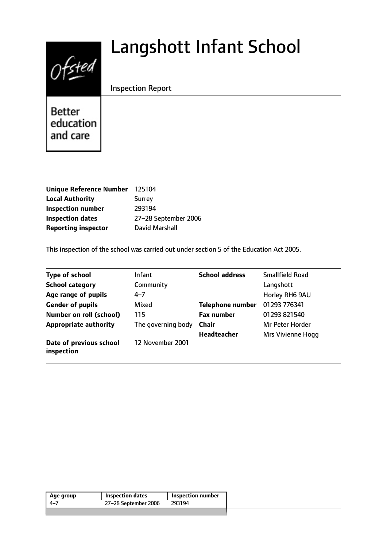# Langshott Infant School



Inspection Report

**Better** education and care

| <b>Unique Reference Number</b> | 125104               |
|--------------------------------|----------------------|
| <b>Local Authority</b>         | <b>Surrey</b>        |
| <b>Inspection number</b>       | 293194               |
| <b>Inspection dates</b>        | 27-28 September 2006 |
| <b>Reporting inspector</b>     | David Marshall       |

This inspection of the school was carried out under section 5 of the Education Act 2005.

| <b>Type of school</b>                 | Infant             | <b>School address</b>   | <b>Smallfield Road</b>   |
|---------------------------------------|--------------------|-------------------------|--------------------------|
| <b>School category</b>                | Community          |                         | Langshott                |
| Age range of pupils                   | $4 - 7$            |                         | Horley RH6 9AU           |
| <b>Gender of pupils</b>               | Mixed              | <b>Telephone number</b> | 01293 776341             |
| <b>Number on roll (school)</b>        | 115                | <b>Fax number</b>       | 01293 821540             |
| <b>Appropriate authority</b>          | The governing body | <b>Chair</b>            | Mr Peter Horder          |
|                                       |                    | <b>Headteacher</b>      | <b>Mrs Vivienne Hogg</b> |
| Date of previous school<br>inspection | 12 November 2001   |                         |                          |

| Age group | <b>Inspection dates</b> | Inspection number |
|-----------|-------------------------|-------------------|
| -4–7      | 27-28 September 2006    | 293194            |
|           |                         |                   |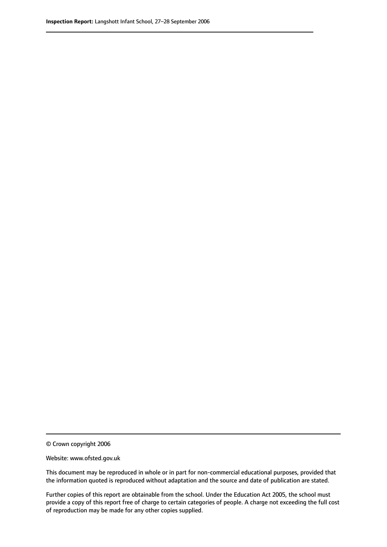© Crown copyright 2006

Website: www.ofsted.gov.uk

This document may be reproduced in whole or in part for non-commercial educational purposes, provided that the information quoted is reproduced without adaptation and the source and date of publication are stated.

Further copies of this report are obtainable from the school. Under the Education Act 2005, the school must provide a copy of this report free of charge to certain categories of people. A charge not exceeding the full cost of reproduction may be made for any other copies supplied.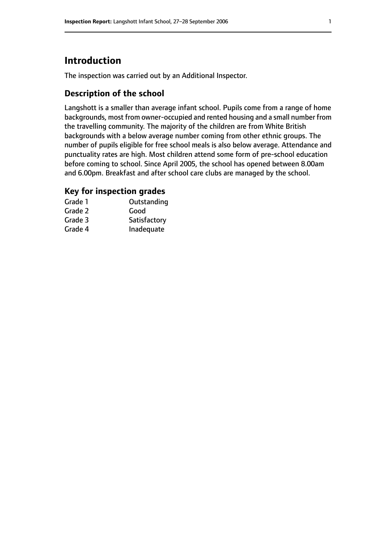# **Introduction**

The inspection was carried out by an Additional Inspector.

# **Description of the school**

Langshott is a smaller than average infant school. Pupils come from a range of home backgrounds, most from owner-occupied and rented housing and a small number from the travelling community. The majority of the children are from White British backgrounds with a below average number coming from other ethnic groups. The number of pupils eligible for free school meals is also below average. Attendance and punctuality rates are high. Most children attend some form of pre-school education before coming to school. Since April 2005, the school has opened between 8.00am and 6.00pm. Breakfast and after school care clubs are managed by the school.

# **Key for inspection grades**

| Grade 1 | Outstanding  |
|---------|--------------|
| Grade 2 | Good         |
| Grade 3 | Satisfactory |
| Grade 4 | Inadequate   |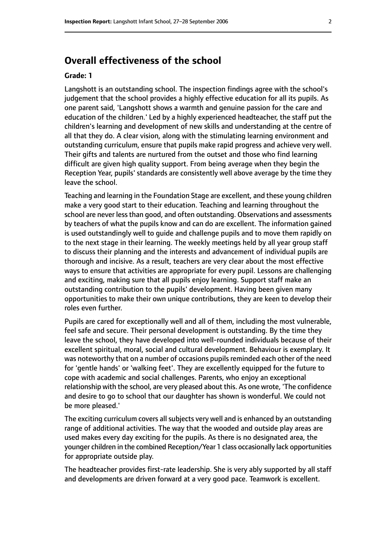# **Overall effectiveness of the school**

#### **Grade: 1**

Langshott is an outstanding school. The inspection findings agree with the school's judgement that the school provides a highly effective education for all its pupils. As one parent said, 'Langshott shows a warmth and genuine passion for the care and education of the children.' Led by a highly experienced headteacher, the staff put the children's learning and development of new skills and understanding at the centre of all that they do. A clear vision, along with the stimulating learning environment and outstanding curriculum, ensure that pupils make rapid progress and achieve very well. Their gifts and talents are nurtured from the outset and those who find learning difficult are given high quality support. From being average when they begin the Reception Year, pupils' standards are consistently well above average by the time they leave the school.

Teaching and learning in the Foundation Stage are excellent, and these young children make a very good start to their education. Teaching and learning throughout the school are never less than good, and often outstanding. Observations and assessments by teachers of what the pupils know and can do are excellent. The information gained is used outstandingly well to guide and challenge pupils and to move them rapidly on to the next stage in their learning. The weekly meetings held by all year group staff to discuss their planning and the interests and advancement of individual pupils are thorough and incisive. As a result, teachers are very clear about the most effective ways to ensure that activities are appropriate for every pupil. Lessons are challenging and exciting, making sure that all pupils enjoy learning. Support staff make an outstanding contribution to the pupils' development. Having been given many opportunities to make their own unique contributions, they are keen to develop their roles even further.

Pupils are cared for exceptionally well and all of them, including the most vulnerable, feel safe and secure. Their personal development is outstanding. By the time they leave the school, they have developed into well-rounded individuals because of their excellent spiritual, moral, social and cultural development. Behaviour is exemplary. It was noteworthy that on a number of occasions pupils reminded each other of the need for 'gentle hands' or 'walking feet'. They are excellently equipped for the future to cope with academic and social challenges. Parents, who enjoy an exceptional relationship with the school, are very pleased about this. As one wrote, 'The confidence and desire to go to school that our daughter has shown is wonderful. We could not be more pleased.'

The exciting curriculum covers all subjects very well and is enhanced by an outstanding range of additional activities. The way that the wooded and outside play areas are used makes every day exciting for the pupils. As there is no designated area, the younger children in the combined Reception/Year 1 class occasionally lack opportunities for appropriate outside play.

The headteacher provides first-rate leadership. She is very ably supported by all staff and developments are driven forward at a very good pace. Teamwork is excellent.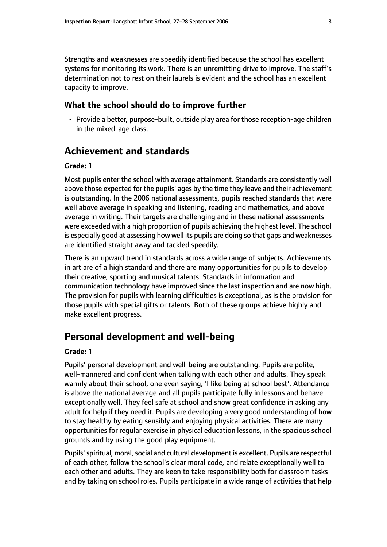Strengths and weaknesses are speedily identified because the school has excellent systems for monitoring its work. There is an unremitting drive to improve. The staff's determination not to rest on their laurels is evident and the school has an excellent capacity to improve.

#### **What the school should do to improve further**

• Provide a better, purpose-built, outside play area for those reception-age children in the mixed-age class.

# **Achievement and standards**

#### **Grade: 1**

Most pupils enter the school with average attainment. Standards are consistently well above those expected for the pupils' ages by the time they leave and their achievement is outstanding. In the 2006 national assessments, pupils reached standards that were well above average in speaking and listening, reading and mathematics, and above average in writing. Their targets are challenging and in these national assessments were exceeded with a high proportion of pupils achieving the highest level. The school is especially good at assessing how well its pupils are doing so that gaps and weaknesses are identified straight away and tackled speedily.

There is an upward trend in standards across a wide range of subjects. Achievements in art are of a high standard and there are many opportunities for pupils to develop their creative, sporting and musical talents. Standards in information and communication technology have improved since the last inspection and are now high. The provision for pupils with learning difficulties is exceptional, as is the provision for those pupils with special gifts or talents. Both of these groups achieve highly and make excellent progress.

# **Personal development and well-being**

#### **Grade: 1**

Pupils' personal development and well-being are outstanding. Pupils are polite, well-mannered and confident when talking with each other and adults. They speak warmly about their school, one even saying, 'I like being at school best'. Attendance is above the national average and all pupils participate fully in lessons and behave exceptionally well. They feel safe at school and show great confidence in asking any adult for help if they need it. Pupils are developing a very good understanding of how to stay healthy by eating sensibly and enjoying physical activities. There are many opportunities for regular exercise in physical education lessons, in the spacious school grounds and by using the good play equipment.

Pupils' spiritual, moral, social and cultural development is excellent. Pupils are respectful of each other, follow the school's clear moral code, and relate exceptionally well to each other and adults. They are keen to take responsibility both for classroom tasks and by taking on school roles. Pupils participate in a wide range of activities that help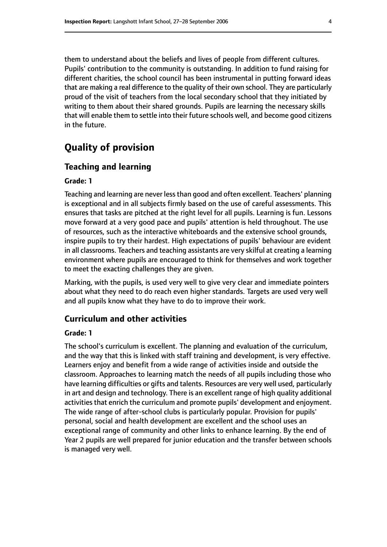them to understand about the beliefs and lives of people from different cultures. Pupils' contribution to the community is outstanding. In addition to fund raising for different charities, the school council has been instrumental in putting forward ideas that are making a real difference to the quality of their own school. They are particularly proud of the visit of teachers from the local secondary school that they initiated by writing to them about their shared grounds. Pupils are learning the necessary skills that will enable them to settle into their future schools well, and become good citizens in the future.

# **Quality of provision**

### **Teaching and learning**

#### **Grade: 1**

Teaching and learning are never lessthan good and often excellent. Teachers' planning is exceptional and in all subjects firmly based on the use of careful assessments. This ensures that tasks are pitched at the right level for all pupils. Learning is fun. Lessons move forward at a very good pace and pupils' attention is held throughout. The use of resources, such as the interactive whiteboards and the extensive school grounds, inspire pupils to try their hardest. High expectations of pupils' behaviour are evident in all classrooms. Teachers and teaching assistants are very skilful at creating a learning environment where pupils are encouraged to think for themselves and work together to meet the exacting challenges they are given.

Marking, with the pupils, is used very well to give very clear and immediate pointers about what they need to do reach even higher standards. Targets are used very well and all pupils know what they have to do to improve their work.

#### **Curriculum and other activities**

#### **Grade: 1**

The school's curriculum is excellent. The planning and evaluation of the curriculum, and the way that this is linked with staff training and development, is very effective. Learners enjoy and benefit from a wide range of activities inside and outside the classroom. Approaches to learning match the needs of all pupils including those who have learning difficulties or gifts and talents. Resources are very well used, particularly in art and design and technology. There is an excellent range of high quality additional activities that enrich the curriculum and promote pupils' development and enjoyment. The wide range of after-school clubs is particularly popular. Provision for pupils' personal, social and health development are excellent and the school uses an exceptional range of community and other links to enhance learning. By the end of Year 2 pupils are well prepared for junior education and the transfer between schools is managed very well.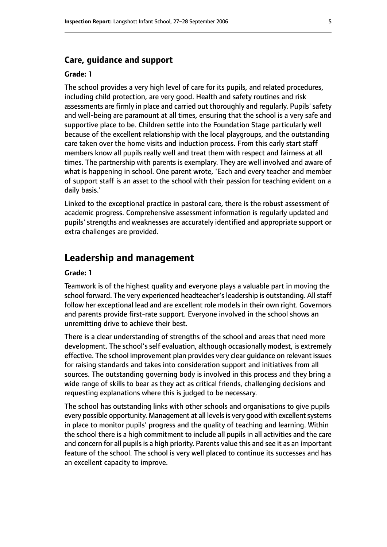#### **Care, guidance and support**

#### **Grade: 1**

The school provides a very high level of care for its pupils, and related procedures, including child protection, are very good. Health and safety routines and risk assessments are firmly in place and carried out thoroughly and regularly. Pupils' safety and well-being are paramount at all times, ensuring that the school is a very safe and supportive place to be. Children settle into the Foundation Stage particularly well because of the excellent relationship with the local playgroups, and the outstanding care taken over the home visits and induction process. From this early start staff members know all pupils really well and treat them with respect and fairness at all times. The partnership with parents is exemplary. They are well involved and aware of what is happening in school. One parent wrote, 'Each and every teacher and member of support staff is an asset to the school with their passion for teaching evident on a daily basis.'

Linked to the exceptional practice in pastoral care, there is the robust assessment of academic progress. Comprehensive assessment information is regularly updated and pupils' strengths and weaknesses are accurately identified and appropriate support or extra challenges are provided.

## **Leadership and management**

#### **Grade: 1**

Teamwork is of the highest quality and everyone plays a valuable part in moving the school forward. The very experienced headteacher's leadership is outstanding. All staff follow her exceptional lead and are excellent role models in their own right. Governors and parents provide first-rate support. Everyone involved in the school shows an unremitting drive to achieve their best.

There is a clear understanding of strengths of the school and areas that need more development. The school's self evaluation, although occasionally modest, is extremely effective. The school improvement plan provides very clear guidance on relevant issues for raising standards and takes into consideration support and initiatives from all sources. The outstanding governing body is involved in this process and they bring a wide range of skills to bear as they act as critical friends, challenging decisions and requesting explanations where this is judged to be necessary.

The school has outstanding links with other schools and organisations to give pupils every possible opportunity. Management at all levels is very good with excellent systems in place to monitor pupils' progress and the quality of teaching and learning. Within the school there is a high commitment to include all pupils in all activities and the care and concern for all pupils is a high priority. Parents value this and see it as an important feature of the school. The school is very well placed to continue its successes and has an excellent capacity to improve.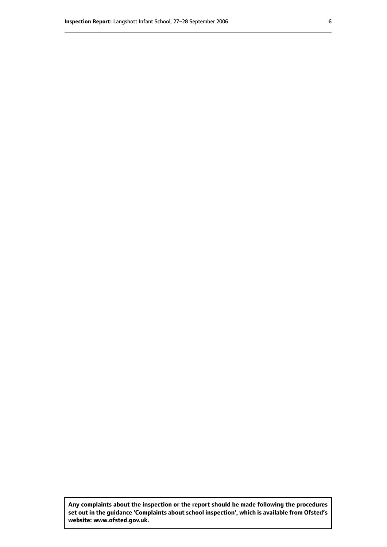**Any complaints about the inspection or the report should be made following the procedures set out inthe guidance 'Complaints about school inspection', whichis available from Ofsted's website: www.ofsted.gov.uk.**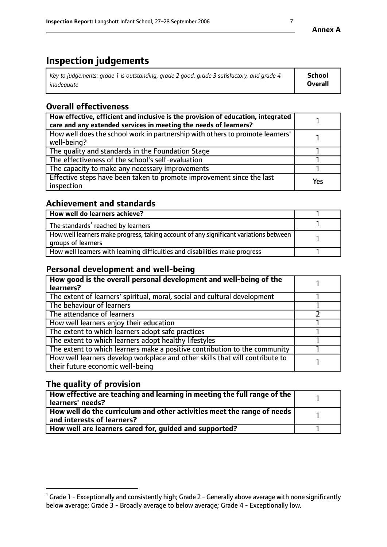# **Inspection judgements**

| Key to judgements: grade 1 is outstanding, grade 2 good, grade 3 satisfactory, and grade 4 | School         |
|--------------------------------------------------------------------------------------------|----------------|
| inadeauate                                                                                 | <b>Overall</b> |

# **Overall effectiveness**

| How effective, efficient and inclusive is the provision of education, integrated<br>care and any extended services in meeting the needs of learners? |     |
|------------------------------------------------------------------------------------------------------------------------------------------------------|-----|
| How well does the school work in partnership with others to promote learners'<br>well-being?                                                         |     |
| The quality and standards in the Foundation Stage                                                                                                    |     |
| The effectiveness of the school's self-evaluation                                                                                                    |     |
| The capacity to make any necessary improvements                                                                                                      |     |
| Effective steps have been taken to promote improvement since the last<br>inspection                                                                  | Yes |

## **Achievement and standards**

| How well do learners achieve?                                                                               |  |
|-------------------------------------------------------------------------------------------------------------|--|
| The standards <sup>1</sup> reached by learners                                                              |  |
| How well learners make progress, taking account of any significant variations between<br>groups of learners |  |
| How well learners with learning difficulties and disabilities make progress                                 |  |

## **Personal development and well-being**

| How good is the overall personal development and well-being of the<br>learners?                                  |  |
|------------------------------------------------------------------------------------------------------------------|--|
| The extent of learners' spiritual, moral, social and cultural development                                        |  |
| The behaviour of learners                                                                                        |  |
| The attendance of learners                                                                                       |  |
| How well learners enjoy their education                                                                          |  |
| The extent to which learners adopt safe practices                                                                |  |
| The extent to which learners adopt healthy lifestyles                                                            |  |
| The extent to which learners make a positive contribution to the community                                       |  |
| How well learners develop workplace and other skills that will contribute to<br>their future economic well-being |  |

# **The quality of provision**

| How effective are teaching and learning in meeting the full range of the<br>  learners' needs?                      |  |
|---------------------------------------------------------------------------------------------------------------------|--|
| $\mid$ How well do the curriculum and other activities meet the range of needs<br>$\mid$ and interests of learners? |  |
| How well are learners cared for, guided and supported?                                                              |  |

 $^1$  Grade 1 - Exceptionally and consistently high; Grade 2 - Generally above average with none significantly below average; Grade 3 - Broadly average to below average; Grade 4 - Exceptionally low.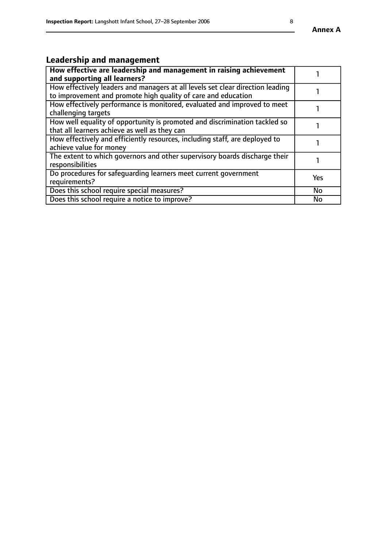#### **Annex A**

# **Leadership and management**

| How effective are leadership and management in raising achievement<br>and supporting all learners?                                              |           |
|-------------------------------------------------------------------------------------------------------------------------------------------------|-----------|
| How effectively leaders and managers at all levels set clear direction leading<br>to improvement and promote high quality of care and education |           |
| How effectively performance is monitored, evaluated and improved to meet<br>challenging targets                                                 |           |
| How well equality of opportunity is promoted and discrimination tackled so<br>that all learners achieve as well as they can                     |           |
| How effectively and efficiently resources, including staff, are deployed to<br>achieve value for money                                          |           |
| The extent to which governors and other supervisory boards discharge their<br>responsibilities                                                  |           |
| Do procedures for safequarding learners meet current government<br>requirements?                                                                | Yes       |
| Does this school require special measures?                                                                                                      | <b>No</b> |
| Does this school require a notice to improve?                                                                                                   | No        |